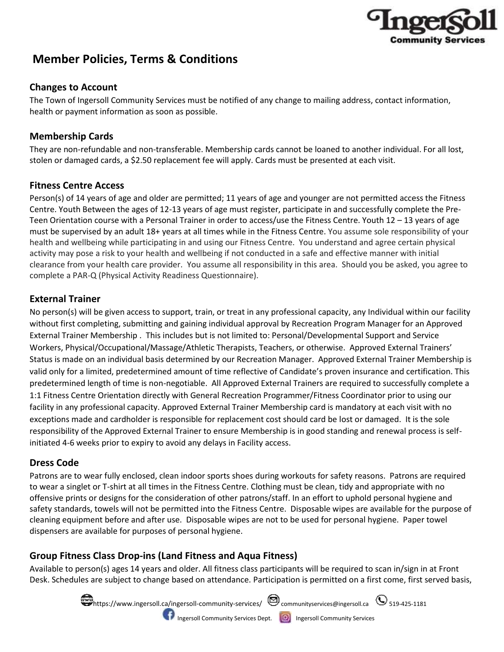

# **Member Policies, Terms & Conditions**

# **Changes to Account**

The Town of Ingersoll Community Services must be notified of any change to mailing address, contact information, health or payment information as soon as possible.

## **Membership Cards**

They are non-refundable and non-transferable. Membership cards cannot be loaned to another individual. For all lost, stolen or damaged cards, a \$2.50 replacement fee will apply. Cards must be presented at each visit.

## **Fitness Centre Access**

Person(s) of 14 years of age and older are permitted; 11 years of age and younger are not permitted access the Fitness Centre. Youth Between the ages of 12-13 years of age must register, participate in and successfully complete the Pre-Teen Orientation course with a Personal Trainer in order to access/use the Fitness Centre. Youth 12 – 13 years of age must be supervised by an adult 18+ years at all times while in the Fitness Centre. You assume sole responsibility of your health and wellbeing while participating in and using our Fitness Centre. You understand and agree certain physical activity may pose a risk to your health and wellbeing if not conducted in a safe and effective manner with initial clearance from your health care provider. You assume all responsibility in this area. Should you be asked, you agree to complete a PAR-Q (Physical Activity Readiness Questionnaire).

# **External Trainer**

No person(s) will be given access to support, train, or treat in any professional capacity, any Individual within our facility without first completing, submitting and gaining individual approval by Recreation Program Manager for an Approved External Trainer Membership . This includes but is not limited to: Personal/Developmental Support and Service Workers, Physical/Occupational/Massage/Athletic Therapists, Teachers, or otherwise. Approved External Trainers' Status is made on an individual basis determined by our Recreation Manager. Approved External Trainer Membership is valid only for a limited, predetermined amount of time reflective of Candidate's proven insurance and certification. This predetermined length of time is non-negotiable. All Approved External Trainers are required to successfully complete a 1:1 Fitness Centre Orientation directly with General Recreation Programmer/Fitness Coordinator prior to using our facility in any professional capacity. Approved External Trainer Membership card is mandatory at each visit with no exceptions made and cardholder is responsible for replacement cost should card be lost or damaged. It is the sole responsibility of the Approved External Trainer to ensure Membership is in good standing and renewal process is selfinitiated 4-6 weeks prior to expiry to avoid any delays in Facility access.

## **Dress Code**

Patrons are to wear fully enclosed, clean indoor sports shoes during workouts for safety reasons. Patrons are required to wear a singlet or T-shirt at all times in the Fitness Centre. Clothing must be clean, tidy and appropriate with no offensive prints or designs for the consideration of other patrons/staff. In an effort to uphold personal hygiene and safety standards, towels will not be permitted into the Fitness Centre. Disposable wipes are available for the purpose of cleaning equipment before and after use. Disposable wipes are not to be used for personal hygiene. Paper towel dispensers are available for purposes of personal hygiene.

# **Group Fitness Class Drop-ins (Land Fitness and Aqua Fitness)**

Available to person(s) ages 14 years and older. All fitness class participants will be required to scan in/sign in at Front Desk. Schedules are subject to change based on attendance. Participation is permitted on a first come, first served basis,

> $\blacksquare$ https://www.ingersoll.ca/ingersoll-community-services/ $\enspace$   $\enspace$  communityservices@ingersoll.ca  $\enspace$   $\enspace$  519-425-1181 **ID** Ingersoll Community Services Dept. **ID** Ingersoll Community Services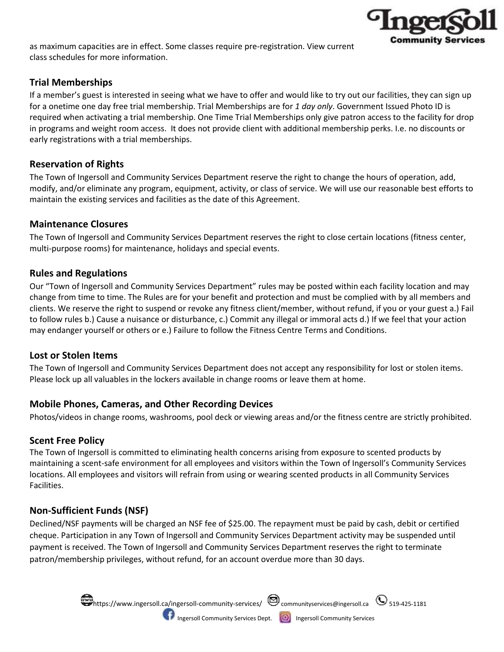

as maximum capacities are in effect. Some classes require pre-registration. View current class schedules for more information.

## **Trial Memberships**

If a member's guest is interested in seeing what we have to offer and would like to try out our facilities, they can sign up for a onetime one day free trial membership. Trial Memberships are for *1 day only*. Government Issued Photo ID is required when activating a trial membership. One Time Trial Memberships only give patron access to the facility for drop in programs and weight room access. It does not provide client with additional membership perks. I.e. no discounts or early registrations with a trial memberships.

#### **Reservation of Rights**

The Town of Ingersoll and Community Services Department reserve the right to change the hours of operation, add, modify, and/or eliminate any program, equipment, activity, or class of service. We will use our reasonable best efforts to maintain the existing services and facilities as the date of this Agreement.

## **Maintenance Closures**

The Town of Ingersoll and Community Services Department reserves the right to close certain locations (fitness center, multi-purpose rooms) for maintenance, holidays and special events.

#### **Rules and Regulations**

Our "Town of Ingersoll and Community Services Department" rules may be posted within each facility location and may change from time to time. The Rules are for your benefit and protection and must be complied with by all members and clients. We reserve the right to suspend or revoke any fitness client/member, without refund, if you or your guest a.) Fail to follow rules b.) Cause a nuisance or disturbance, c.) Commit any illegal or immoral acts d.) If we feel that your action may endanger yourself or others or e.) Failure to follow the Fitness Centre Terms and Conditions.

## **Lost or Stolen Items**

The Town of Ingersoll and Community Services Department does not accept any responsibility for lost or stolen items. Please lock up all valuables in the lockers available in change rooms or leave them at home.

## **Mobile Phones, Cameras, and Other Recording Devices**

Photos/videos in change rooms, washrooms, pool deck or viewing areas and/or the fitness centre are strictly prohibited.

## **Scent Free Policy**

The Town of Ingersoll is committed to eliminating health concerns arising from exposure to scented products by maintaining a scent-safe environment for all employees and visitors within the Town of Ingersoll's Community Services locations. All employees and visitors will refrain from using or wearing scented products in all Community Services Facilities.

## **Non-Sufficient Funds (NSF)**

Declined/NSF payments will be charged an NSF fee of \$25.00. The repayment must be paid by cash, debit or certified cheque. Participation in any Town of Ingersoll and Community Services Department activity may be suspended until payment is received. The Town of Ingersoll and Community Services Department reserves the right to terminate patron/membership privileges, without refund, for an account overdue more than 30 days.